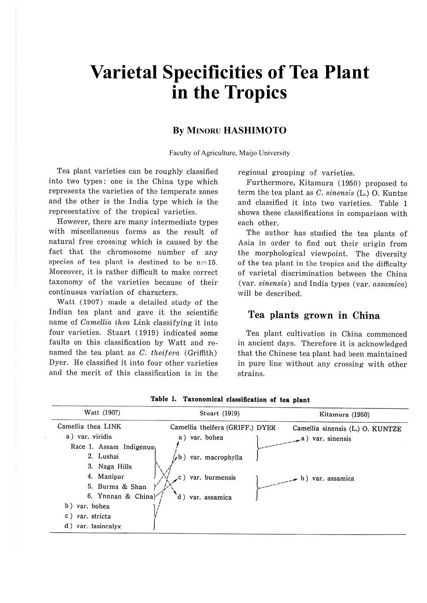# **Varietal Specificities of Tea Plant in the Tropics**

## **By MINORU HASHIMOTO**

Faculty of Agriculture, Maijo University

Tea plant varieties can be roughly classified into two types: one is the China type which represents the varieties of the temperate zones and the other is the India type which is the representative of the tropical varieties.

However, there are many intermediate types with miscellaneous forms as the result of natural free crossing which is caused by the fact that the chromosome number of any species of tea plant is destined to be  $n=15$ . Moreover, it is rather difficult to make correct taxonomy of the varieties because of their continuous variation of characters.

Watt (1907) made a detailed study of the Indian tea plant and gave it the scientific name of Camellia thea Link classifying it into four varieties. Stuart (1919) indicated some faults on this classification by Watt and renamed the tea plant as  $C.$  theifera (Griffith) Dyer. He classified it into four other varieties and the merit of this classification is in the regional grouping of varieties.

Furthermore, Kitamura (1950) proposed to term the tea plant as C. *sinensis* (L.) 0 . Kuntze and classified it into two varieties. Table I shows these classifications in comparison with each other.

The author has studied the tea plants of Asia in order to find out their origin from the morphological viewpoint. The diversity of the tea plant in the tropics and the difficulty of varietal discrimination between the China (var. *sinensis)* and India types (var. *assamicci)*  will be described.

## **Tea plants grown in China**

Tea plant cultivation in China commenced in ancient days. Therefore it is acknowledged that the Chinese tea plant had been maintained in pure line without any crossing with other strains.

| Watt (1907)                                                                                                                  | Stuart (1919)                                                            | Kitamura (1950)                                         |
|------------------------------------------------------------------------------------------------------------------------------|--------------------------------------------------------------------------|---------------------------------------------------------|
| Camellia thea LINK<br>a) var. viridis<br>Race 1. Assam Indigenus<br>2. Lushai<br>3. Naga Hills                               | Camellia theifera (GRIFF.) DYER<br>a) var. bohea<br>/b) var. macrophylla | Camellia sinensis (L.) O. KUNTZE<br>$(a)$ var. sinensis |
| 4. Manipur<br>5. Burma & Shan<br>6. Yunnan & Chinal<br>b) var. bohea<br>var. stricta<br>$\mathbf{c}$ )<br>d) var. lasiocalyx | c) var. burmensis<br>d) var. assamica                                    | b) var. assamica                                        |

**Table 1, Taxonomical classification of tea plant**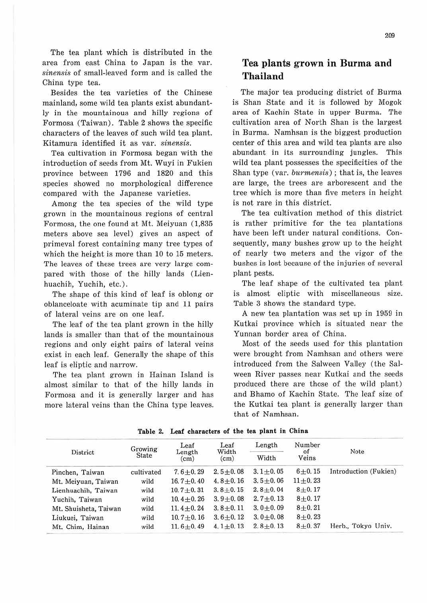The tea plant which is distributed in the area from east China to Japan is the var. *sinensis* of small-leaved form and is called the China type tea.

Besides the tea varieties of the Chinese mainland, some wild tea plants exist abundantly in the mountainous and hilly regions of Formosa (Taiwan). Table 2 shows the specific characters of the leaves of such wild tea plant. Kitamura identified it as var. *sinensis.* 

Tea cultivation in Formosa began with the introduction of seeds from Mt. Wuyi in Fukien province between 1796 and 1820 and this species showed no morphological difference compared with the Japanese varieties.

Among the tea species of the wild type grown in the mountainous regions of central Formosa, the one found at Mt. Meiyuan (1,835 meters above sea level) gives an aspect of primeval forest containing many tree types of which the height is more than 10 to 15 meters. The leaves of these trees are very large compared with those of the hilly lands (Lienhuachih, Yuchih, etc.).

The shape of this kind of leaf is oblong or oblanceloate with acuminate tip and 11 pairs of lateral veins are on one leaf.

The leaf of the tea plant grown in the hilly lands is smaller than that of the mountainous regions and only eight pairs of lateral veins exist in each leaf. Generally the shape of this leaf is eliptic and narrow.

The tea plant grown in Hainan Island is almost similar to that of the hilly lands in Formosa and it is generally larger and has more lateral veins than the China type leaves.

## **Tea plants grown in Burma and Thailand**

The major tea producing district of Burma is Shan State and it is followed by Mogok area of Kachin State in upper Burma. The cultivation area of North Shan is the largest in Burma. Namhsan is the biggest production center of this area and wild tea plants are also abundant in its surrounding jungles. This wild tea plant possesses the specificities of the Shan type (var. *burmensis);* that is, the leaves are large, the trees are arborescent and the tree which is more than five meters in height is not rare in this district.

The tea cultivation method of this district is rather primitive for the tea plantations have been left under natural conditions. Consequently, many bushes grow up to the height of nearly two meters and the vigor of the bushes is lost because of the injuries of several plant pests.

The leaf shape of the cultivated tea plant is almost eliptic with miscellaneous size. Table 3 shows the standard type.

A new tea plantation was set up in 1959 in Kutkai province which is situated near the Yunnan border area of China.

Most of the seeds used for this plantation were brought from Namhsan and others were introduced from the Salween Valley (the Salween River passes near Kutkai and the seeds produced there are those of the wild plant) and Bhamo of Kachin State. The leaf size of the Kutkai tea plant is generally larger than that of Namhsan.

|                       | Growing<br>State | Leaf<br>Length<br>(cm) | Leaf<br>Width<br>(cm) | Length         | Number<br>of<br>Veins |                       |
|-----------------------|------------------|------------------------|-----------------------|----------------|-----------------------|-----------------------|
| District              |                  |                        |                       | Width          |                       | Note                  |
| Pinchen, Taiwan       | cultivated       | $7.6 + 0.29$           | $2.5 + 0.08$          | $3.1 + 0.05$   | $6 + 0.15$            | Introduction (Fukien) |
| Mt. Meiyuan, Taiwan   | wild             | $16.7 + 0.40$          | $4.8 \pm 0.16$        | $3.5 \pm 0.06$ | $11 + 0.23$           |                       |
| Lienhuachih, Taiwan   | wild             | $10.7 + 0.31$          | $3.8 + 0.15$          | $2.8 + 0.04$   | $8 + 0.17$            |                       |
| Yuchih, Taiwan        | wild             | 10.4 $\pm$ 0.26        | $3.9 + 0.08$          | $2.7 + 0.13$   | $8 + 0.17$            |                       |
| Mt. Shuisheta, Taiwan | wild             | $11.4 + 0.24$          | $3.8 + 0.11$          | $3.0 \pm 0.09$ | $8 + 0.21$            |                       |
| Liukuei, Taiwan       | wild             | $10.7 + 0.16$          | $3.6 + 0.12$          | $3.0 + 0.08$   | $8 + 0.23$            |                       |
| Mt. Chim, Hainan      | wild             | $11.6 + 0.49$          | $4.1 \pm 0.13$        | $2, 8 + 0, 13$ | $8 + 0.37$            | Herb., Tokyo Univ.    |

**Table 2. Leaf characters of the tea plant in China**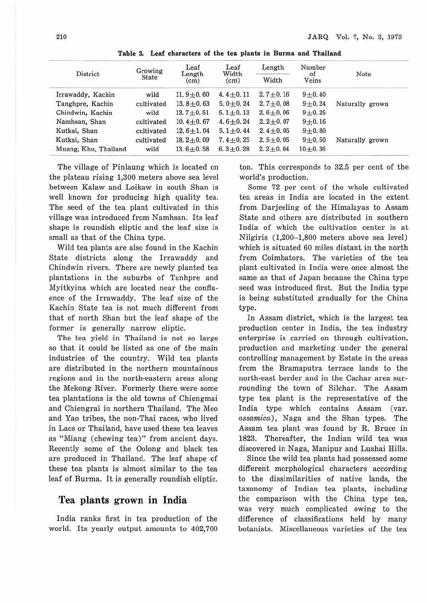| District             | Growing<br><b>State</b> | Leaf<br>Length<br>(cm) | Leaf<br>Width<br>(cm) | Length<br>Width | Number<br>of<br>Veins | Note            |
|----------------------|-------------------------|------------------------|-----------------------|-----------------|-----------------------|-----------------|
|                      |                         |                        |                       |                 |                       |                 |
| Tanghpre, Kachin     | cultivated              | $13.8 + 0.63$          | $5.0 \pm 0.24$        | $2.7 + 0.08$    | $9 + 0.24$            | Naturally grown |
| Chindwin, Kachin     | wild                    | $13.7 + 0.51$          | $5.1 \pm 0.13$        | $2.6 \pm 0.06$  | $9 + 0.25$            |                 |
| Namhsan, Shan        | cultivated              | $10.4 + 0.67$          | $4.6 + 0.24$          | $2.2 + 0.07$    | $9 + 0.16$            |                 |
| Kutkai, Shan         | cultivated              | $12.6 + 1.04$          | $5.1 + 0.44$          | $2.4 + 0.05$    | $9 + 0.80$            |                 |
| Kutkai, Shan         | cultivated              | $18.2 + 0.09$          | $7.4 + 0.25$          | $2, 5 + 0, 05$  | $9 + 0.50$            | Naturally grown |
| Muang, Khu, Thailand | wild                    | $13.6 + 0.58$          | $6.3 + 0.28$          | $2.2 + 0.04$    | $10 + 0.36$           |                 |

**Table 3. Leaf characters of the tea plants in Burma and Thailand** 

The village of Pinlaung which is located on the plateau rising 1,300 meters above sea level between Kalaw and Loikaw in south Shan is well known for producing high quality tea. The seed of the tea plant cultivated in this village was introduced from Namhsan. Its leaf shape is roundish eliptic and the leaf size is small as that of the China type.

Wild tea plants are also found in the Kachin State districts along the Irrawaddy and Chindwin rivers. There are newly planted tea plantations in the suburbs of Tanhpre and Myitkyina which are located near the confluence of the Irrawaddy. The leaf size of the Kachin State tea is not much different from that of north Shan but the leaf shape of the former is generally narrow eliptic.

The tea yield in Thailand is not so large so that it could be listed as one of the main industries of the country. Wild tea plants are distributed in the northem mountainous regions and in the north-eastem areas along the Mekong River. Formerly there were some tea plantations is the old towns of Chiengmai and Chiengrai in northern Thailand. The Meo and Yao tribes, the non-Thai races, who lived in Laos or Thailand, have used these tea leaves as "Miang (chewing tea)" from ancient days. Recently some of the Oolong and black tea are produced in Thailand. The leaf shape of these tea plants is almost similar to the tea leaf of Burma. It is generally roundish eliptic.

## **Tea plants grown in India**

India ranks first in tea production of the world. Its yearly output amounts to 402,700 ton. This corresponds to 32.5 per cent of the world's production.

Some 72 per cent of the whole cultivated tea areas in India are located in the extent from Darjeeling of the Himalayas to Assam State and others are distributed in southem India of which the cultivation center is at Nilgiris (1,200-1,800 meters above sea level) which is situated 60 miles distant in the north from Coimbators. The varieties of the tea plant cultivated in India were once almost the same as that of Japan because the China type seed was introduced first. But the India type is being substituted gradually for the China type.

In Assam district, which is the largest tea production center in India, the tea industry enterprise is carried on through cultivation, production and marketing under the general controlling management by Estate in the areas from the Bramaputra terrace lands to the north-east border and in the Cachar area surrounding the town of Silchar. The Assam type tea plant is the representative of the India type which contains Assam (var. assamica), Naga and the Shan types. The Assam tea plant was found by R. Bruce in 1823. Thereafter, the Indian wild tea was discovered in Naga, Manipur and Lushai Hills.

Since the wild tea plants had possessed some different morphological characters according to the dissimilarities of native lands, the taxonomy of Indian tea plants, including the comparison with the China type tea, was very much complicated owing to the difference of classifications held by many botanists. Miscellaneous varieties of the tea